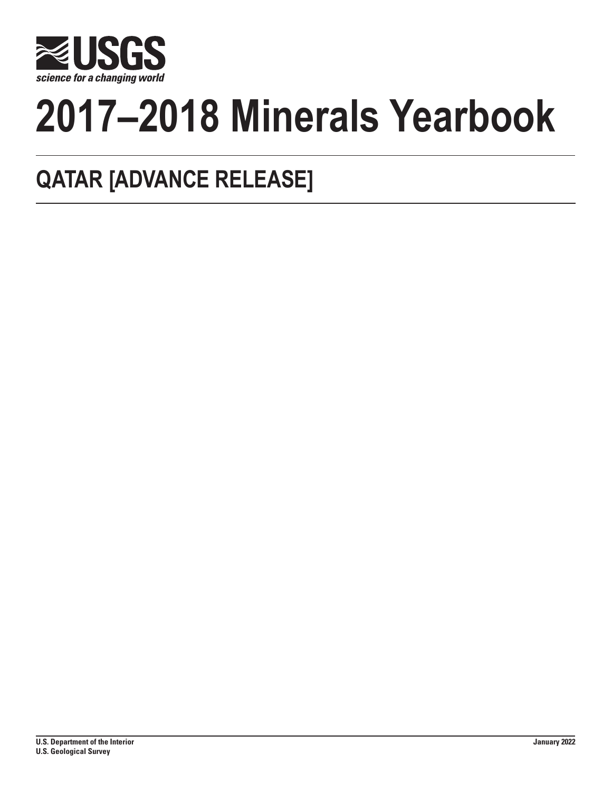

# **2017–2018 Minerals Yearbook**

## **QATAR [ADVANCE RELEASE]**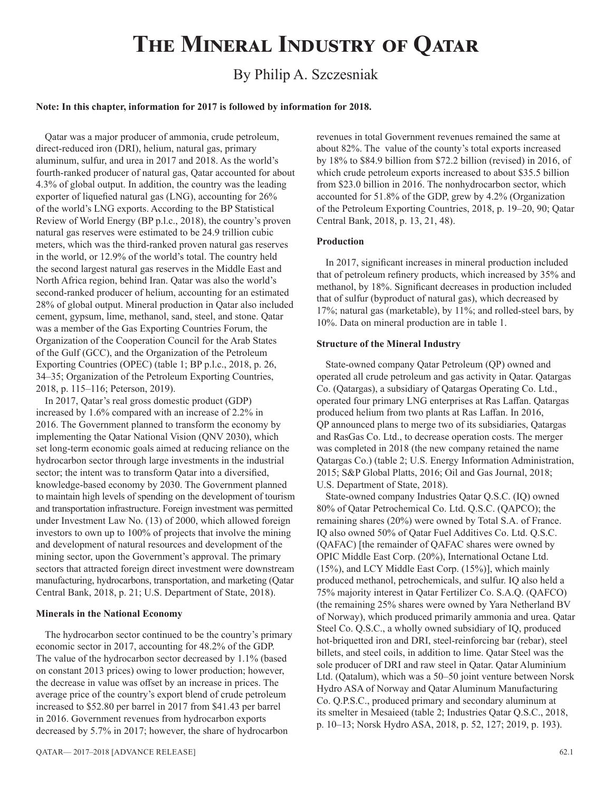## **The Mineral Industry of Qatar**

### By Philip A. Szczesniak

#### **Note: In this chapter, information for 2017 is followed by information for 2018.**

Qatar was a major producer of ammonia, crude petroleum, direct-reduced iron (DRI), helium, natural gas, primary aluminum, sulfur, and urea in 2017 and 2018. As the world's fourth-ranked producer of natural gas, Qatar accounted for about 4.3% of global output. In addition, the country was the leading exporter of liquefied natural gas (LNG), accounting for 26% of the world's LNG exports. According to the BP Statistical Review of World Energy (BP p.l.c., 2018), the country's proven natural gas reserves were estimated to be 24.9 trillion cubic meters, which was the third-ranked proven natural gas reserves in the world, or 12.9% of the world's total. The country held the second largest natural gas reserves in the Middle East and North Africa region, behind Iran. Qatar was also the world's second-ranked producer of helium, accounting for an estimated 28% of global output. Mineral production in Qatar also included cement, gypsum, lime, methanol, sand, steel, and stone. Qatar was a member of the Gas Exporting Countries Forum, the Organization of the Cooperation Council for the Arab States of the Gulf (GCC), and the Organization of the Petroleum Exporting Countries (OPEC) (table 1; BP p.l.c., 2018, p. 26, 34–35; Organization of the Petroleum Exporting Countries, 2018, p. 115–116; Peterson, 2019).

In 2017, Qatar's real gross domestic product (GDP) increased by 1.6% compared with an increase of 2.2% in 2016. The Government planned to transform the economy by implementing the Qatar National Vision (QNV 2030), which set long-term economic goals aimed at reducing reliance on the hydrocarbon sector through large investments in the industrial sector; the intent was to transform Qatar into a diversified, knowledge-based economy by 2030. The Government planned to maintain high levels of spending on the development of tourism and transportation infrastructure. Foreign investment was permitted under Investment Law No. (13) of 2000, which allowed foreign investors to own up to 100% of projects that involve the mining and development of natural resources and development of the mining sector, upon the Government's approval. The primary sectors that attracted foreign direct investment were downstream manufacturing, hydrocarbons, transportation, and marketing (Qatar Central Bank, 2018, p. 21; U.S. Department of State, 2018).

#### **Minerals in the National Economy**

The hydrocarbon sector continued to be the country's primary economic sector in 2017, accounting for 48.2% of the GDP. The value of the hydrocarbon sector decreased by 1.1% (based on constant 2013 prices) owing to lower production; however, the decrease in value was offset by an increase in prices. The average price of the country's export blend of crude petroleum increased to \$52.80 per barrel in 2017 from \$41.43 per barrel in 2016. Government revenues from hydrocarbon exports decreased by 5.7% in 2017; however, the share of hydrocarbon

revenues in total Government revenues remained the same at about 82%. The value of the county's total exports increased by 18% to \$84.9 billion from \$72.2 billion (revised) in 2016, of which crude petroleum exports increased to about \$35.5 billion from \$23.0 billion in 2016. The nonhydrocarbon sector, which accounted for 51.8% of the GDP, grew by 4.2% (Organization of the Petroleum Exporting Countries, 2018, p. 19–20, 90; Qatar Central Bank, 2018, p. 13, 21, 48).

#### **Production**

In 2017, significant increases in mineral production included that of petroleum refinery products, which increased by 35% and methanol, by 18%. Significant decreases in production included that of sulfur (byproduct of natural gas), which decreased by 17%; natural gas (marketable), by 11%; and rolled-steel bars, by 10%. Data on mineral production are in table 1.

#### **Structure of the Mineral Industry**

State-owned company Qatar Petroleum (QP) owned and operated all crude petroleum and gas activity in Qatar. Qatargas Co. (Qatargas), a subsidiary of Qatargas Operating Co. Ltd., operated four primary LNG enterprises at Ras Laffan. Qatargas produced helium from two plants at Ras Laffan. In 2016, QP announced plans to merge two of its subsidiaries, Qatargas and RasGas Co. Ltd., to decrease operation costs. The merger was completed in 2018 (the new company retained the name Qatargas Co.) (table 2; U.S. Energy Information Administration, 2015; S&P Global Platts, 2016; Oil and Gas Journal, 2018; U.S. Department of State, 2018).

State-owned company Industries Qatar Q.S.C. (IQ) owned 80% of Qatar Petrochemical Co. Ltd. Q.S.C. (QAPCO); the remaining shares (20%) were owned by Total S.A. of France. IQ also owned 50% of Qatar Fuel Additives Co. Ltd. Q.S.C. (QAFAC) [the remainder of QAFAC shares were owned by OPIC Middle East Corp. (20%), International Octane Ltd. (15%), and LCY Middle East Corp. (15%)], which mainly produced methanol, petrochemicals, and sulfur. IQ also held a 75% majority interest in Qatar Fertilizer Co. S.A.Q. (QAFCO) (the remaining 25% shares were owned by Yara Netherland BV of Norway), which produced primarily ammonia and urea. Qatar Steel Co. Q.S.C., a wholly owned subsidiary of IQ, produced hot-briquetted iron and DRI, steel-reinforcing bar (rebar), steel billets, and steel coils, in addition to lime. Qatar Steel was the sole producer of DRI and raw steel in Qatar. Qatar Aluminium Ltd. (Qatalum), which was a 50–50 joint venture between Norsk Hydro ASA of Norway and Qatar Aluminum Manufacturing Co. Q.P.S.C., produced primary and secondary aluminum at its smelter in Mesaieed (table 2; Industries Qatar Q.S.C., 2018, p. 10–13; Norsk Hydro ASA, 2018, p. 52, 127; 2019, p. 193).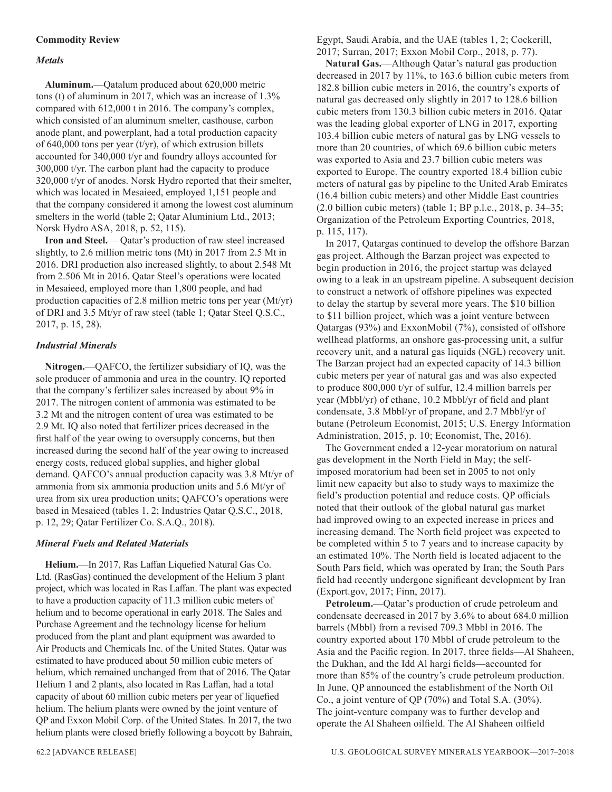#### **Commodity Review**

#### *Metals*

**Aluminum.**—Qatalum produced about 620,000 metric tons (t) of aluminum in 2017, which was an increase of 1.3% compared with 612,000 t in 2016. The company's complex, which consisted of an aluminum smelter, casthouse, carbon anode plant, and powerplant, had a total production capacity of  $640,000$  tons per year (t/yr), of which extrusion billets accounted for 340,000 t/yr and foundry alloys accounted for 300,000 t/yr. The carbon plant had the capacity to produce 320,000 t/yr of anodes. Norsk Hydro reported that their smelter, which was located in Mesaieed, employed 1,151 people and that the company considered it among the lowest cost aluminum smelters in the world (table 2; Qatar Aluminium Ltd., 2013; Norsk Hydro ASA, 2018, p. 52, 115).

**Iron and Steel.**— Qatar's production of raw steel increased slightly, to 2.6 million metric tons (Mt) in 2017 from 2.5 Mt in 2016. DRI production also increased slightly, to about 2.548 Mt from 2.506 Mt in 2016. Qatar Steel's operations were located in Mesaieed, employed more than 1,800 people, and had production capacities of 2.8 million metric tons per year (Mt/yr) of DRI and 3.5 Mt/yr of raw steel (table 1; Qatar Steel Q.S.C., 2017, p. 15, 28).

#### *Industrial Minerals*

**Nitrogen.**—QAFCO, the fertilizer subsidiary of IQ, was the sole producer of ammonia and urea in the country. IQ reported that the company's fertilizer sales increased by about 9% in 2017. The nitrogen content of ammonia was estimated to be 3.2 Mt and the nitrogen content of urea was estimated to be 2.9 Mt. IQ also noted that fertilizer prices decreased in the first half of the year owing to oversupply concerns, but then increased during the second half of the year owing to increased energy costs, reduced global supplies, and higher global demand. QAFCO's annual production capacity was 3.8 Mt/yr of ammonia from six ammonia production units and 5.6 Mt/yr of urea from six urea production units; QAFCO's operations were based in Mesaieed (tables 1, 2; Industries Qatar Q.S.C., 2018, p. 12, 29; Qatar Fertilizer Co. S.A.Q., 2018).

#### *Mineral Fuels and Related Materials*

**Helium.**—In 2017, Ras Laffan Liquefied Natural Gas Co. Ltd. (RasGas) continued the development of the Helium 3 plant project, which was located in Ras Laffan. The plant was expected to have a production capacity of 11.3 million cubic meters of helium and to become operational in early 2018. The Sales and Purchase Agreement and the technology license for helium produced from the plant and plant equipment was awarded to Air Products and Chemicals Inc. of the United States. Qatar was estimated to have produced about 50 million cubic meters of helium, which remained unchanged from that of 2016. The Qatar Helium 1 and 2 plants, also located in Ras Laffan, had a total capacity of about 60 million cubic meters per year of liquefied helium. The helium plants were owned by the joint venture of QP and Exxon Mobil Corp. of the United States. In 2017, the two helium plants were closed briefly following a boycott by Bahrain, Egypt, Saudi Arabia, and the UAE (tables 1, 2; Cockerill, 2017; Surran, 2017; Exxon Mobil Corp., 2018, p. 77).

**Natural Gas.**—Although Qatar's natural gas production decreased in 2017 by 11%, to 163.6 billion cubic meters from 182.8 billion cubic meters in 2016, the country's exports of natural gas decreased only slightly in 2017 to 128.6 billion cubic meters from 130.3 billion cubic meters in 2016. Qatar was the leading global exporter of LNG in 2017, exporting 103.4 billion cubic meters of natural gas by LNG vessels to more than 20 countries, of which 69.6 billion cubic meters was exported to Asia and 23.7 billion cubic meters was exported to Europe. The country exported 18.4 billion cubic meters of natural gas by pipeline to the United Arab Emirates (16.4 billion cubic meters) and other Middle East countries (2.0 billion cubic meters) (table 1; BP p.l.c., 2018, p. 34–35; Organization of the Petroleum Exporting Countries, 2018, p. 115, 117).

In 2017, Qatargas continued to develop the offshore Barzan gas project. Although the Barzan project was expected to begin production in 2016, the project startup was delayed owing to a leak in an upstream pipeline. A subsequent decision to construct a network of offshore pipelines was expected to delay the startup by several more years. The \$10 billion to \$11 billion project, which was a joint venture between Qatargas (93%) and ExxonMobil (7%), consisted of offshore wellhead platforms, an onshore gas-processing unit, a sulfur recovery unit, and a natural gas liquids (NGL) recovery unit. The Barzan project had an expected capacity of 14.3 billion cubic meters per year of natural gas and was also expected to produce 800,000 t/yr of sulfur, 12.4 million barrels per year (Mbbl/yr) of ethane, 10.2 Mbbl/yr of field and plant condensate, 3.8 Mbbl/yr of propane, and 2.7 Mbbl/yr of butane (Petroleum Economist, 2015; U.S. Energy Information Administration, 2015, p. 10; Economist, The, 2016).

The Government ended a 12-year moratorium on natural gas development in the North Field in May; the selfimposed moratorium had been set in 2005 to not only limit new capacity but also to study ways to maximize the field's production potential and reduce costs. QP officials noted that their outlook of the global natural gas market had improved owing to an expected increase in prices and increasing demand. The North field project was expected to be completed within 5 to 7 years and to increase capacity by an estimated 10%. The North field is located adjacent to the South Pars field, which was operated by Iran; the South Pars field had recently undergone significant development by Iran (Export.gov, 2017; Finn, 2017).

**Petroleum.**—Qatar's production of crude petroleum and condensate decreased in 2017 by 3.6% to about 684.0 million barrels (Mbbl) from a revised 709.3 Mbbl in 2016. The country exported about 170 Mbbl of crude petroleum to the Asia and the Pacific region. In 2017, three fields—Al Shaheen, the Dukhan, and the Idd Al hargi fields—accounted for more than 85% of the country's crude petroleum production. In June, QP announced the establishment of the North Oil Co., a joint venture of QP (70%) and Total S.A. (30%). The joint-venture company was to further develop and operate the Al Shaheen oilfield. The Al Shaheen oilfield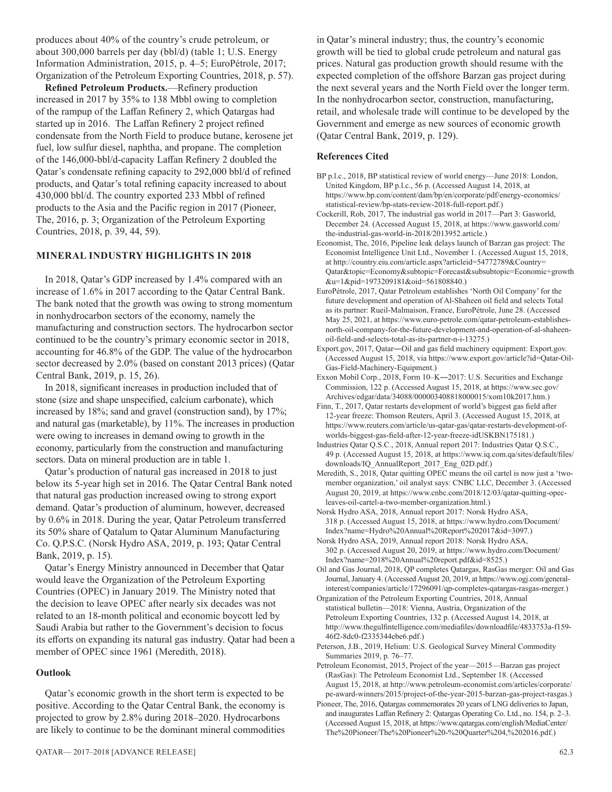produces about 40% of the country's crude petroleum, or about 300,000 barrels per day (bbl/d) (table 1; U.S. Energy Information Administration, 2015, p. 4–5; EuroPétrole, 2017; Organization of the Petroleum Exporting Countries, 2018, p. 57).

**Refined Petroleum Products.**—Refinery production increased in 2017 by 35% to 138 Mbbl owing to completion of the rampup of the Laffan Refinery 2, which Qatargas had started up in 2016. The Laffan Refinery 2 project refined condensate from the North Field to produce butane, kerosene jet fuel, low sulfur diesel, naphtha, and propane. The completion of the 146,000-bbl/d-capacity Laffan Refinery 2 doubled the Qatar's condensate refining capacity to 292,000 bbl/d of refined products, and Qatar's total refining capacity increased to about 430,000 bbl/d. The country exported 233 Mbbl of refined products to the Asia and the Pacific region in 2017 (Pioneer, The, 2016, p. 3; Organization of the Petroleum Exporting Countries, 2018, p. 39, 44, 59).

#### **MINERAL INDUSTRY HIGHLIGHTS IN 2018**

In 2018, Qatar's GDP increased by 1.4% compared with an increase of 1.6% in 2017 according to the Qatar Central Bank. The bank noted that the growth was owing to strong momentum in nonhydrocarbon sectors of the economy, namely the manufacturing and construction sectors. The hydrocarbon sector continued to be the country's primary economic sector in 2018, accounting for 46.8% of the GDP. The value of the hydrocarbon sector decreased by 2.0% (based on constant 2013 prices) (Qatar Central Bank, 2019, p. 15, 26).

In 2018, significant increases in production included that of stone (size and shape unspecified, calcium carbonate), which increased by 18%; sand and gravel (construction sand), by 17%; and natural gas (marketable), by 11%. The increases in production were owing to increases in demand owing to growth in the economy, particularly from the construction and manufacturing sectors. Data on mineral production are in table 1.

Qatar's production of natural gas increased in 2018 to just below its 5-year high set in 2016. The Qatar Central Bank noted that natural gas production increased owing to strong export demand. Qatar's production of aluminum, however, decreased by 0.6% in 2018. During the year, Qatar Petroleum transferred its 50% share of Qatalum to Qatar Aluminum Manufacturing Co. Q.P.S.C. (Norsk Hydro ASA, 2019, p. 193; Qatar Central Bank, 2019, p. 15).

Qatar's Energy Ministry announced in December that Qatar would leave the Organization of the Petroleum Exporting Countries (OPEC) in January 2019. The Ministry noted that the decision to leave OPEC after nearly six decades was not related to an 18-month political and economic boycott led by Saudi Arabia but rather to the Government's decision to focus its efforts on expanding its natural gas industry. Qatar had been a member of OPEC since 1961 (Meredith, 2018).

#### **Outlook**

Qatar's economic growth in the short term is expected to be positive. According to the Qatar Central Bank, the economy is projected to grow by 2.8% during 2018–2020. Hydrocarbons are likely to continue to be the dominant mineral commodities in Qatar's mineral industry; thus, the country's economic growth will be tied to global crude petroleum and natural gas prices. Natural gas production growth should resume with the expected completion of the offshore Barzan gas project during the next several years and the North Field over the longer term. In the nonhydrocarbon sector, construction, manufacturing, retail, and wholesale trade will continue to be developed by the Government and emerge as new sources of economic growth (Qatar Central Bank, 2019, p. 129).

#### **References Cited**

- BP p.l.c., 2018, BP statistical review of world energy—June 2018: London, United Kingdom, BP p.l.c., 56 p. (Accessed August 14, 2018, at https://www.bp.com/content/dam/bp/en/corporate/pdf/energy-economics/ statistical-review/bp-stats-review-2018-full-report.pdf.)
- Cockerill, Rob, 2017, The industrial gas world in 2017—Part 3: Gasworld, December 24. (Accessed August 15, 2018, at https://www.gasworld.com/ the-industrial-gas-world-in-2018/2013952.article.)
- Economist, The, 2016, Pipeline leak delays launch of Barzan gas project: The Economist Intelligence Unit Ltd., November 1. (Accessed August 15, 2018, at http://country.eiu.com/article.aspx?articleid=54772789&Country= Qatar&topic=Economy&subtopic=Forecast&subsubtopic=Economic+growth &u=1&pid=1973209181&oid=561808840.)
- EuroPétrole, 2017, Qatar Petroleum establishes 'North Oil Company' for the future development and operation of Al-Shaheen oil field and selects Total as its partner: Rueil-Malmaison, France, EuroPétrole, June 28. (Accessed May 25, 2021, at https://www.euro-petrole.com/qatar-petroleum-establishesnorth-oil-company-for-the-future-development-and-operation-of-al-shaheenoil-field-and-selects-total-as-its-partner-n-i-13275.)
- Export.gov, 2017, Qatar―Oil and gas field machinery equipment: Export.gov. (Accessed August 15, 2018, via https://www.export.gov/article?id=Qatar-Oil-Gas-Field-Machinery-Equipment.)
- Exxon Mobil Corp., 2018, Form 10–K―2017: U.S. Securities and Exchange Commission, 122 p. (Accessed August 15, 2018, at https://www.sec.gov/ Archives/edgar/data/34088/000003408818000015/xom10k2017.htm.)
- Finn, T., 2017, Qatar restarts development of world's biggest gas field after 12-year freeze: Thomson Reuters, April 3. (Accessed August 15, 2018, at https://www.reuters.com/article/us-qatar-gas/qatar-restarts-development-ofworlds-biggest-gas-field-after-12-year-freeze-idUSKBN175181.)
- Industries Qatar Q.S.C., 2018, Annual report 2017: Industries Qatar Q.S.C., 49 p. (Accessed August 15, 2018, at https://www.iq.com.qa/sites/default/files/ downloads/IQ\_AnnualReport\_2017\_Eng\_02D.pdf.)
- Meredith, S., 2018, Qatar quitting OPEC means the oil cartel is now just a 'twomember organization,' oil analyst says: CNBC LLC, December 3. (Accessed August 20, 2019, at https://www.cnbc.com/2018/12/03/qatar-quitting-opecleaves-oil-cartel-a-two-member-organization.html.)

Norsk Hydro ASA, 2018, Annual report 2017: Norsk Hydro ASA, 318 p. (Accessed August 15, 2018, at https://www.hydro.com/Document/ Index?name=Hydro%20Annual%20Report%202017&id=3097.)

Norsk Hydro ASA, 2019, Annual report 2018: Norsk Hydro ASA, 302 p. (Accessed August 20, 2019, at https://www.hydro.com/Document/ Index?name=2018%20Annual%20report.pdf&id=8525.)

Oil and Gas Journal, 2018, QP completes Qatargas, RasGas merger: Oil and Gas Journal, January 4. (Accessed August 20, 2019, at https://www.ogj.com/generalinterest/companies/article/17296091/qp-completes-qatargas-rasgas-merger.)

- Organization of the Petroleum Exporting Countries, 2018, Annual statistical bulletin—2018: Vienna, Austria, Organization of the Petroleum Exporting Countries, 132 p. (Accessed August 14, 2018, at http://www.thegulfintelligence.com/mediafiles/downloadfile/4833753a-f159- 46f2-8dc0-f2335344ebe6.pdf.)
- Peterson, J.B., 2019, Helium: U.S. Geological Survey Mineral Commodity Summaries 2019, p. 76–77.
- Petroleum Economist, 2015, Project of the year—2015—Barzan gas project (RasGas): The Petroleum Economist Ltd., September 18. (Accessed August 15, 2018, at http://www.petroleum-economist.com/articles/corporate/ pe-award-winners/2015/project-of-the-year-2015-barzan-gas-project-rasgas.)
- Pioneer, The, 2016, Qatargas commemorates 20 years of LNG deliveries to Japan, and inaugurates Laffan Refinery 2: Qatargas Operating Co. Ltd., no. 154, p. 2–3. (Accessed August 15, 2018, at https://www.qatargas.com/english/MediaCenter/ The%20Pioneer/The%20Pioneer%20-%20Quarter%204,%202016.pdf.)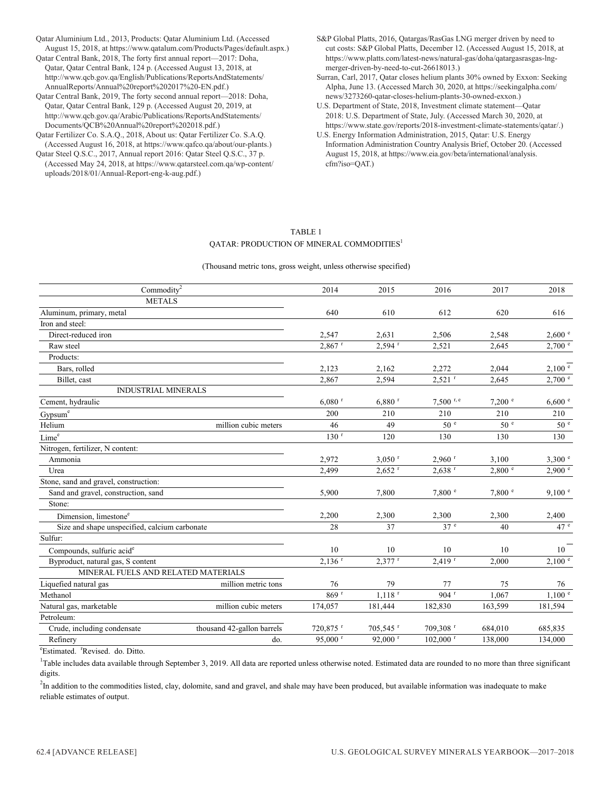Qatar Aluminium Ltd., 2013, Products: Qatar Aluminium Ltd. (Accessed August 15, 2018, at https://www.qatalum.com/Products/Pages/default.aspx.) Qatar Central Bank, 2018, The forty first annual report—2017: Doha, Qatar, Qatar Central Bank, 124 p. (Accessed August 13, 2018, at http://www.qcb.gov.qa/English/Publications/ReportsAndStatements/ AnnualReports/Annual%20report%202017%20-EN.pdf.)

Qatar Central Bank, 2019, The forty second annual report—2018: Doha, Qatar, Qatar Central Bank, 129 p. (Accessed August 20, 2019, at http://www.qcb.gov.qa/Arabic/Publications/ReportsAndStatements/ Documents/QCB%20Annual%20report%202018.pdf.)

Qatar Fertilizer Co. S.A.Q., 2018, About us: Qatar Fertilizer Co. S.A.Q. (Accessed August 16, 2018, at https://www.qafco.qa/about/our-plants.)

Qatar Steel Q.S.C., 2017, Annual report 2016: Qatar Steel Q.S.C., 37 p. (Accessed May 24, 2018, at https://www.qatarsteel.com.qa/wp-content/ uploads/2018/01/Annual-Report-eng-k-aug.pdf.)

S&P Global Platts, 2016, Qatargas/RasGas LNG merger driven by need to cut costs: S&P Global Platts, December 12. (Accessed August 15, 2018, at https://www.platts.com/latest-news/natural-gas/doha/qatargasrasgas-lngmerger-driven-by-need-to-cut-26618013.)

Surran, Carl, 2017, Qatar closes helium plants 30% owned by Exxon: Seeking Alpha, June 13. (Accessed March 30, 2020, at https://seekingalpha.com/ news/3273260-qatar-closes-helium-plants-30-owned-exxon.)

U.S. Department of State, 2018, Investment climate statement—Qatar 2018: U.S. Department of State, July. (Accessed March 30, 2020, at https://www.state.gov/reports/2018-investment-climate-statements/qatar/.)

U.S. Energy Information Administration, 2015, Qatar: U.S. Energy Information Administration Country Analysis Brief, October 20. (Accessed August 15, 2018, at https://www.eia.gov/beta/international/analysis. cfm?iso=QAT.)

#### TABLE 1 QATAR: PRODUCTION OF MINERAL COMMODITIES<sup>1</sup>

(Thousand metric tons, gross weight, unless otherwise specified)

| Commodity <sup>2</sup>                        |                            | 2014                  | 2015                   | 2016                   | 2017            | 2018                 |
|-----------------------------------------------|----------------------------|-----------------------|------------------------|------------------------|-----------------|----------------------|
| <b>METALS</b>                                 |                            |                       |                        |                        |                 |                      |
| Aluminum, primary, metal                      |                            | 640                   | 610                    | 612                    | 620             | 616                  |
| Iron and steel:                               |                            |                       |                        |                        |                 |                      |
| Direct-reduced iron                           |                            | 2,547                 | 2,631                  | 2,506                  | 2,548           | 2,600 °              |
| Raw steel                                     |                            | $2,867$ <sup>r</sup>  | $2,594$ <sup>r</sup>   | 2,521                  | 2,645           | $2,700$ $\degree$    |
| Products:                                     |                            |                       |                        |                        |                 |                      |
| Bars, rolled                                  |                            | 2,123                 | 2,162                  | 2,272                  | 2,044           | 2,100 °              |
| Billet, cast                                  |                            | 2,867                 | 2,594                  | $2,521$ <sup>r</sup>   | 2,645           | $2{,}700$ $^{\circ}$ |
| <b>INDUSTRIAL MINERALS</b>                    |                            |                       |                        |                        |                 |                      |
| Cement, hydraulic                             |                            | $6,080$ <sup>r</sup>  | $6,880$ <sup>r</sup>   | $7,500$ r, e           | 7,200 °         | 6,600 °              |
| Gypsum <sup>e</sup>                           |                            | 200                   | 210                    | 210                    | 210             | 210                  |
| Helium                                        | million cubic meters       | 46                    | 49                     | 50 <sup>e</sup>        | 50 <sup>°</sup> | 50 <sup>°</sup>      |
| Lime <sup>e</sup>                             |                            | 130 <sup>r</sup>      | 120                    | 130                    | 130             | 130                  |
| Nitrogen, fertilizer, N content:              |                            |                       |                        |                        |                 |                      |
| Ammonia                                       |                            | 2,972                 | $3,050$ <sup>r</sup>   | $2,960$ <sup>r</sup>   | 3,100           | 3,300°               |
| Urea                                          |                            | 2,499                 | $2,652$ <sup>r</sup>   | $2,638$ <sup>r</sup>   | 2,800 °         | $2,900^{\circ}$      |
| Stone, sand and gravel, construction:         |                            |                       |                        |                        |                 |                      |
| Sand and gravel, construction, sand           |                            | 5,900                 | 7,800                  | 7,800 °                | 7,800 °         | 9,100 °              |
| Stone:                                        |                            |                       |                        |                        |                 |                      |
| Dimension, limestone <sup>e</sup>             | 2,200                      | 2,300                 | 2,300                  | 2,300                  | 2,400           |                      |
| Size and shape unspecified, calcium carbonate |                            | 28                    | 37                     | 37 <sup>e</sup>        | 40              | 47 <sup>e</sup>      |
| Sulfur:                                       |                            |                       |                        |                        |                 |                      |
| Compounds, sulfuric acid <sup>e</sup>         |                            | 10                    | 10                     | 10                     | 10              | 10                   |
| Byproduct, natural gas, S content             |                            | $2.136$ <sup>r</sup>  | $2,377$ <sup>r</sup>   | $2,419$ <sup>r</sup>   | 2,000           | 2,100 °              |
| MINERAL FUELS AND RELATED MATERIALS           |                            |                       |                        |                        |                 |                      |
| Liquefied natural gas                         | million metric tons        | 76                    | 79                     | 77                     | 75              | 76                   |
| Methanol                                      |                            | 869 <sup>r</sup>      | $1.118$ <sup>r</sup>   | $904$ <sup>r</sup>     | 1,067           | 1.100 e              |
| Natural gas, marketable                       | million cubic meters       | 174,057               | 181,444                | 182,830                | 163,599         | 181,594              |
| Petroleum:                                    |                            |                       |                        |                        |                 |                      |
| Crude, including condensate                   | thousand 42-gallon barrels | 720,875 r             | $705,545$ <sup>r</sup> | 709,308 r              | 684,010         | 685,835              |
| Refinery                                      | do.                        | $95,000$ <sup>r</sup> | 92,000 $r$             | $102,000$ <sup>r</sup> | 138,000         | 134,000              |
|                                               |                            |                       |                        |                        |                 |                      |

<sup>e</sup>Estimated. <sup>r</sup>Revised. do. Ditto.

<sup>1</sup>Table includes data available through September 3, 2019. All data are reported unless otherwise noted. Estimated data are rounded to no more than three significant digits.

 ${}^{2}$ In addition to the commodities listed, clay, dolomite, sand and gravel, and shale may have been produced, but available information was inadequate to make reliable estimates of output.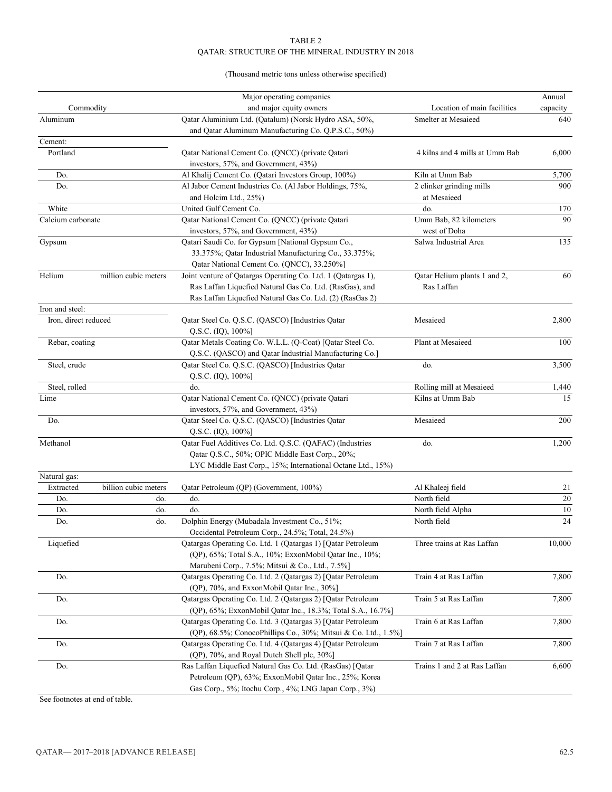#### TABLE 2 QATAR: STRUCTURE OF THE MINERAL INDUSTRY IN 2018

#### (Thousand metric tons unless otherwise specified)

|                      |                                                       | Major operating companies                                      |                                | Annual   |
|----------------------|-------------------------------------------------------|----------------------------------------------------------------|--------------------------------|----------|
| Commodity            |                                                       | and major equity owners                                        | Location of main facilities    | capacity |
| Aluminum             |                                                       | Qatar Aluminium Ltd. (Qatalum) (Norsk Hydro ASA, 50%,          | Smelter at Mesaieed            | 640      |
|                      |                                                       | and Qatar Aluminum Manufacturing Co. Q.P.S.C., 50%)            |                                |          |
| Cement:              |                                                       |                                                                |                                |          |
| Portland             |                                                       | Oatar National Cement Co. (ONCC) (private Oatari               | 4 kilns and 4 mills at Umm Bab | 6,000    |
|                      |                                                       | investors, 57%, and Government, 43%)                           |                                |          |
| Do.                  |                                                       | Al Khalij Cement Co. (Qatari Investors Group, 100%)            | Kiln at Umm Bab                | 5,700    |
| Do.                  |                                                       | Al Jabor Cement Industries Co. (Al Jabor Holdings, 75%,        | 2 clinker grinding mills       | 900      |
|                      |                                                       | and Holcim Ltd., 25%)                                          | at Mesaieed                    |          |
| White                |                                                       | United Gulf Cement Co.                                         | do.                            | 170      |
| Calcium carbonate    |                                                       | Qatar National Cement Co. (QNCC) (private Qatari               | Umm Bab, 82 kilometers         | 90       |
|                      |                                                       | investors, 57%, and Government, 43%)                           | west of Doha                   |          |
| Gypsum               |                                                       | Qatari Saudi Co. for Gypsum [National Gypsum Co.,              | Salwa Industrial Area          | 135      |
|                      |                                                       | 33.375%; Qatar Industrial Manufacturing Co., 33.375%;          |                                |          |
|                      |                                                       | Qatar National Cement Co. (QNCC), 33.250%]                     |                                |          |
| Helium               | million cubic meters                                  | Joint venture of Qatargas Operating Co. Ltd. 1 (Qatargas 1),   | Qatar Helium plants 1 and 2,   | 60       |
|                      |                                                       | Ras Laffan Liquefied Natural Gas Co. Ltd. (RasGas), and        | Ras Laffan                     |          |
|                      |                                                       | Ras Laffan Liquefied Natural Gas Co. Ltd. (2) (RasGas 2)       |                                |          |
| Iron and steel:      |                                                       |                                                                |                                |          |
| Iron, direct reduced |                                                       | Qatar Steel Co. Q.S.C. (QASCO) [Industries Qatar               | Mesaieed                       | 2,800    |
|                      |                                                       | Q.S.C. (IQ), 100%]                                             |                                |          |
| Rebar, coating       |                                                       | Qatar Metals Coating Co. W.L.L. (Q-Coat) [Qatar Steel Co.      | Plant at Mesaieed              | 100      |
|                      |                                                       | Q.S.C. (QASCO) and Qatar Industrial Manufacturing Co.]         |                                |          |
| Steel, crude         |                                                       | Qatar Steel Co. Q.S.C. (QASCO) [Industries Qatar               | do.                            | 3,500    |
|                      |                                                       | Q.S.C. $(IQ)$ , $100\%$ ]                                      |                                |          |
| Steel, rolled        |                                                       | do.                                                            | Rolling mill at Mesaieed       | 1,440    |
| Lime                 |                                                       | Qatar National Cement Co. (QNCC) (private Qatari               | Kilns at Umm Bab               | 15       |
|                      |                                                       | investors, 57%, and Government, 43%)                           |                                |          |
| Do.                  |                                                       | Qatar Steel Co. Q.S.C. (QASCO) [Industries Qatar               | Mesaieed                       | 200      |
|                      |                                                       | Q.S.C. $(IQ)$ , $100\%$ ]                                      |                                |          |
| Methanol             |                                                       | Qatar Fuel Additives Co. Ltd. Q.S.C. (QAFAC) (Industries       | do.                            | 1,200    |
|                      |                                                       | Qatar Q.S.C., 50%; OPIC Middle East Corp., 20%;                |                                |          |
|                      |                                                       |                                                                |                                |          |
|                      |                                                       | LYC Middle East Corp., 15%; International Octane Ltd., 15%)    |                                |          |
| Natural gas:         |                                                       |                                                                |                                |          |
| Extracted            | billion cubic meters                                  | Qatar Petroleum (QP) (Government, 100%)                        | Al Khaleej field               | 21       |
| Do.                  | do.                                                   | do.                                                            | North field                    | 20       |
| Do.                  | do.                                                   | do.                                                            | North field Alpha              | 10       |
| Do.                  | do.                                                   | Dolphin Energy (Mubadala Investment Co., 51%;                  | North field                    | 24       |
|                      |                                                       | Occidental Petroleum Corp., 24.5%; Total, 24.5%)               |                                |          |
| Liquefied            |                                                       | Qatargas Operating Co. Ltd. 1 (Qatargas 1) [Qatar Petroleum    | Three trains at Ras Laffan     | 10,000   |
|                      |                                                       | (QP), 65%; Total S.A., 10%; ExxonMobil Qatar Inc., 10%;        |                                |          |
|                      |                                                       | Marubeni Corp., 7.5%; Mitsui & Co., Ltd., 7.5%]                |                                |          |
| Do.                  |                                                       | Qatargas Operating Co. Ltd. 2 (Qatargas 2) [Qatar Petroleum    | Train 4 at Ras Laffan          | 7,800    |
|                      |                                                       | (QP), 70%, and ExxonMobil Qatar Inc., 30%]                     |                                |          |
| Do.                  |                                                       | Qatargas Operating Co. Ltd. 2 (Qatargas 2) [Qatar Petroleum    | Train 5 at Ras Laffan          | 7,800    |
|                      |                                                       | (QP), 65%; ExxonMobil Qatar Inc., 18.3%; Total S.A., 16.7%]    |                                |          |
| Do.                  |                                                       | Qatargas Operating Co. Ltd. 3 (Qatargas 3) [Qatar Petroleum    | Train 6 at Ras Laffan          | 7,800    |
|                      |                                                       | (QP), 68.5%; ConocoPhillips Co., 30%; Mitsui & Co. Ltd., 1.5%] |                                |          |
| Do.                  |                                                       | Qatargas Operating Co. Ltd. 4 (Qatargas 4) [Qatar Petroleum    | Train 7 at Ras Laffan          | 7,800    |
|                      |                                                       | (QP), 70%, and Royal Dutch Shell plc, 30%]                     |                                |          |
| Do.                  |                                                       | Ras Laffan Liquefied Natural Gas Co. Ltd. (RasGas) [Qatar      | Trains 1 and 2 at Ras Laffan   | 6,600    |
|                      |                                                       | Petroleum (QP), 63%; ExxonMobil Qatar Inc., 25%; Korea         |                                |          |
|                      | Gas Corp., 5%; Itochu Corp., 4%; LNG Japan Corp., 3%) |                                                                |                                |          |

See footnotes at end of table.